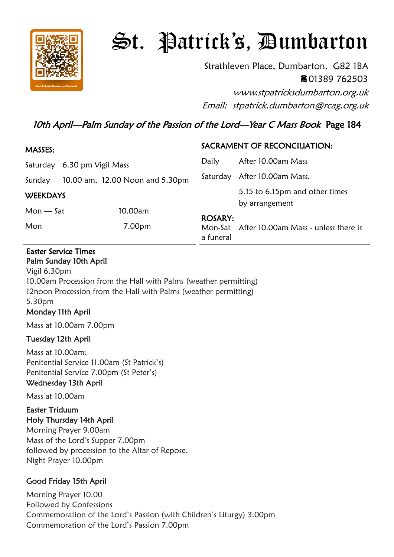

# St. Patrick's, Dumbarton

Strathleven Place, Dumbarton. G82 1BA 01389 762503

www.stpatricksdumbarton.org.uk Email: stpatrick.dumbarton@rcag.org.uk

## 10th April—Palm Sunday of the Passion of the Lord—Year C Mass Book Page 184

| MASSES:                     |  |                                 | SACRAMENT OF RECONCILIATION: |                                                  |
|-----------------------------|--|---------------------------------|------------------------------|--------------------------------------------------|
| Saturday 6.30 pm Vigil Mass |  | Daily                           | After 10.00am Mass           |                                                  |
| Sunday                      |  | 10.00 am, 12.00 Noon and 5.30pm |                              | Saturday After 10.00am Mass,                     |
| <b>WEEKDAYS</b>             |  |                                 |                              | 5.15 to 6.15pm and other times<br>by arrangement |
| $Mon - Sat$                 |  | 10.00am                         |                              |                                                  |
| Mon                         |  | 7.00pm                          | <b>ROSARY:</b><br>a funeral  | Mon-Sat After 10.00am Mass - unless there is     |

#### Easter Service Times Palm Sunday 10th April

Vigil 6.30pm 10.00am Procession from the Hall with Palms (weather permitting) 12noon Procession from the Hall with Palms (weather permitting) 5.30pm Monday 11th April

Mass at 10.00am 7.00pm

## Tuesday 12th April

Mass at 10.00am; Penitential Service 11.00am (St Patrick's) Penitential Service 7.00pm (St Peter's) Wednesday 13th April

Mass at 10.00am

#### Easter Triduum Holy Thursday 14th April

Morning Prayer 9.00am Mass of the Lord's Supper 7.00pm followed by procession to the Altar of Repose. Night Prayer 10.00pm

## Good Friday 15th April

Morning Prayer 10.00 Followed by Confessions Commemoration of the Lord's Passion (with Children's Liturgy) 3.00pm Commemoration of the Lord's Passion 7.00pm